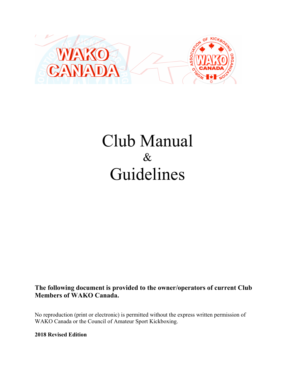

# Club Manual  $\&$ Guidelines

**The following document is provided to the owner/operators of current Club Members of WAKO Canada.**

No reproduction (print or electronic) is permitted without the express written permission of WAKO Canada or the Council of Amateur Sport Kickboxing.

**2018 Revised Edition**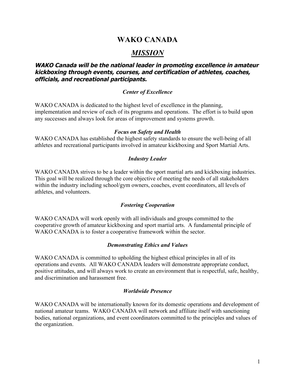# **WAKO CANADA**

# *MISSION*

## **WAKO Canada will be the national leader in promoting excellence in amateur kickboxing through events, courses, and certification of athletes, coaches, officials, and recreational participants.**

## *Center of Excellence*

WAKO CANADA is dedicated to the highest level of excellence in the planning, implementation and review of each of its programs and operations. The effort is to build upon any successes and always look for areas of improvement and systems growth.

## *Focus on Safety and Health*

WAKO CANADA has established the highest safety standards to ensure the well-being of all athletes and recreational participants involved in amateur kickboxing and Sport Martial Arts.

## *Industry Leader*

WAKO CANADA strives to be a leader within the sport martial arts and kickboxing industries. This goal will be realized through the core objective of meeting the needs of all stakeholders within the industry including school/gym owners, coaches, event coordinators, all levels of athletes, and volunteers.

## *Fostering Cooperation*

WAKO CANADA will work openly with all individuals and groups committed to the cooperative growth of amateur kickboxing and sport martial arts. A fundamental principle of WAKO CANADA is to foster a cooperative framework within the sector.

## *Demonstrating Ethics and Values*

WAKO CANADA is committed to upholding the highest ethical principles in all of its operations and events. All WAKO CANADA leaders will demonstrate appropriate conduct, positive attitudes, and will always work to create an environment that is respectful, safe, healthy, and discrimination and harassment free.

#### *Worldwide Presence*

WAKO CANADA will be internationally known for its domestic operations and development of national amateur teams. WAKO CANADA will network and affiliate itself with sanctioning bodies, national organizations, and event coordinators committed to the principles and values of the organization.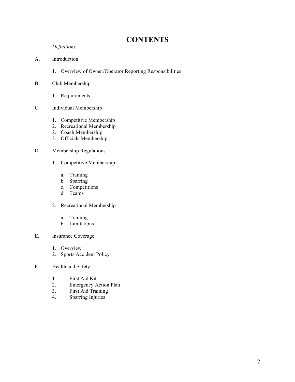# **CONTENTS**

*Definitions*

- A. Introduction
	- 1. Overview of Owner/Operator Reporting Responsibilities
- B. Club Membership
	- 1. Requirements
- C. Individual Membership
	- 1. Competitive Membership
	- 2. Recreational Membership
	- 2. Coach Membership
	- 3. Officials Membership

#### D. Membership Regulations

- 1. Competitive Membership
	- a. Training
	- b. Sparring
	- c. Competitions
	- d. Teams
- 2. Recreational Membership
	- a. Training
	- b. Limitations
- E. Insurance Coverage
	- 1. Overview
	- 2. Sports Accident Policy
- F. Health and Safety
	- 1. First Aid Kit
	- 2. Emergency Action Plan
	- 3. First Aid Training
	- 4. Sparring Injuries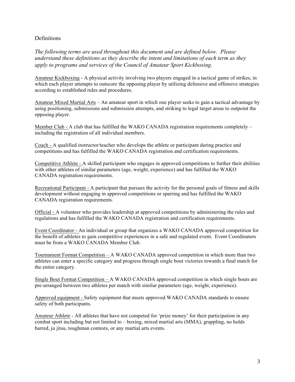## **Definitions**

*The following terms are used throughout this document and are defined below. Please understand these definitions as they describe the intent and limitations of each term as they apply to programs and services of the Council of Amateur Sport Kickboxing*.

Amateur Kickboxing - A physical activity involving two players engaged in a tactical game of strikes, in which each player attempts to outscore the opposing player by utilizing defensive and offensive strategies according to established rules and procedures.

Amateur Mixed Martial Arts – An amateur sport in which one player seeks to gain a tactical advantage by using positioning, submissions and submission attempts, and striking to legal target areas to outpoint the opposing player.

Member Club - A club that has fulfilled the WAKO CANADA registration requirements completely – including the registration of all individual members.

Coach - A qualified instructor/teacher who develops the athlete or participant during practice and competitions and has fulfilled the WAKO CANADA registration and certification requirements.

Competitive Athlete - A skilled participant who engages in approved competitions to further their abilities with other athletes of similar parameters (age, weight, experience) and has fulfilled the WAKO CANADA registration requirements.

Recreational Participant - A participant that pursues the activity for the personal goals of fitness and skills development without engaging in approved competitions or sparring and has fulfilled the WAKO CANADA registration requirements.

Official - A volunteer who provides leadership at approved competitions by administering the rules and regulations and has fulfilled the WAKO CANADA registration and certification requirements.

Event Coordinator - An individual or group that organizes a WAKO CANADA approved competition for the benefit of athletes to gain competitive experiences in a safe and regulated event. Event Coordinators must be from a WAKO CANADA Member Club.

Tournament Format Competition – A WAKO CANADA approved competition in which more than two athletes can enter a specific category and progress through single bout victories towards a final match for the entire category.

Single Bout Format Competition – A WAKO CANADA approved competition in which single bouts are pre-arranged between two athletes per match with similar parameters (age, weight, experience).

Approved equipment - Safety equipment that meets approved WAKO CANADA standards to ensure safety of both participants.

Amateur Athlete - All athletes that have not competed for 'prize money' for their participation in any combat sport including but not limited to – boxing, mixed martial arts (MMA), grappling, no holds barred, ju jitsu, toughman contests, or any martial arts events.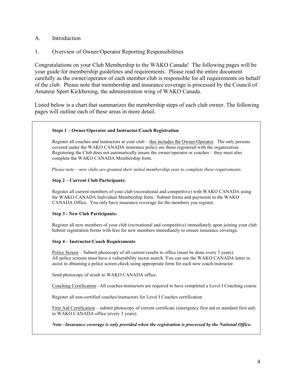- A. Introduction
- 1. Overview of Owner/Operator Reporting Responsibilities

Congratulations on your Club Membership to the WAKO Canada! The following pages will be your guide for membership guidelines and requirements. Please read the entire document carefully as the owner/operator of each member club is responsible for all requirements on behalf of the club. Please note that membership and insurance coverage is processed by the Council of Amateur Sport Kickboxing, the administration wing of WAKO Canada.

Listed below is a chart that summarizes the membership steps of each club owner. The following pages will outline each of these areas in more detail.

#### **Steps 1 – Owner/Operator and Instructor/Coach Registration**

Register all coaches and instructors at your club – this includes the Owner/Operator. The only persons covered under the WAKO CANADA insurance policy are those registered with the organization. Registering the Club does not automatically insure the owner/operator or coaches – they must also complete the WAKO CANADA Membership form.

*Please note – new clubs are granted their initial membership year to complete these requirements*.

#### **Step 2 – Current Club Participants:**

Register all current members of your club (recreational and competitive) with WAKO CANADA using the WAKO CANADA Individual Membership form. Submit forms and payments to the WAKO CANADA Office. You only have insurance coverage for the members you register.

#### **Step 3 - New Club Participants:**

Register all new members of your club (recreational and competitive) immediately upon joining your club Submit registration forms with fees for new members immediately to ensure insurance coverage.

#### **Step 4 – Instructor/Coach Requirements**

Police Screen – Submit photocopy of all current results to office (must be done every 3 years). All police screens must have a vulnerability sector search. You can use the WAKO CANADA letter to assist in obtaining a police screen check using appropriate form for each new coach/instructor.

Send photocopy of result to WAKO CANADA office.

Coaching Certification –All coaches/instructors are required to have completed a Level I Coaching course

Register all non-certified coaches/instructors for Level I Coaches certification

First Aid Certification – submit photocopy of current certificate (emergency first aid or standard first aid) to WAKO CANADA office (every 3 years)

*Note– Insurance coverage is only provided when the registration is processed by the National Office.*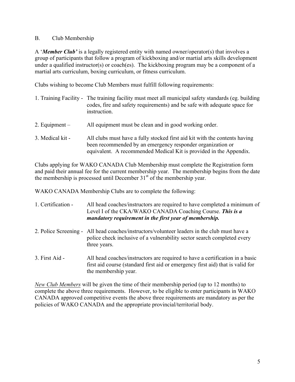## B. Club Membership

A '*Member Club'* is a legally registered entity with named owner/operator(s) that involves a group of participants that follow a program of kickboxing and/or martial arts skills development under a qualified instructor(s) or coach(es). The kickboxing program may be a component of a martial arts curriculum, boxing curriculum, or fitness curriculum.

Clubs wishing to become Club Members must fulfill following requirements:

| 1. Training Facility - | The training facility must meet all municipal safety standards (eg. building<br>codes, fire and safety requirements) and be safe with adequate space for<br>instruction.                                       |
|------------------------|----------------------------------------------------------------------------------------------------------------------------------------------------------------------------------------------------------------|
| 2. Equipment $-$       | All equipment must be clean and in good working order.                                                                                                                                                         |
| 3. Medical kit -       | All clubs must have a fully stocked first aid kit with the contents having<br>been recommended by an emergency responder organization or<br>equivalent. A recommended Medical Kit is provided in the Appendix. |

Clubs applying for WAKO CANADA Club Membership must complete the Registration form and paid their annual fee for the current membership year. The membership begins from the date the membership is processed until December  $31<sup>st</sup>$  of the membership year.

WAKO CANADA Membership Clubs are to complete the following:

| 1. Certification - | All head coaches/instructors are required to have completed a minimum of<br>Level I of the CKA/WAKO CANADA Coaching Course. This is a<br>mandatory requirement in the first year of membership. |
|--------------------|-------------------------------------------------------------------------------------------------------------------------------------------------------------------------------------------------|
|                    | 2. Police Screening - All head coaches/instructors/volunteer leaders in the club must have a<br>police check inclusive of a vulnerability sector search completed every<br>three years.         |
| 3. First Aid -     | All head coaches/instructors are required to have a certification in a basic<br>first aid course (standard first aid or emergency first aid) that is valid for<br>the membership year.          |

*New Club Members* will be given the time of their membership period (up to 12 months) to complete the above three requirements. However, to be eligible to enter participants in WAKO CANADA approved competitive events the above three requirements are mandatory as per the policies of WAKO CANADA and the appropriate provincial/territorial body.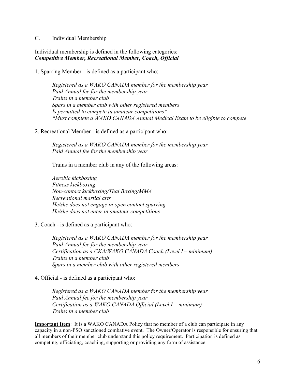## C. Individual Membership

Individual membership is defined in the following categories: *Competitive Member, Recreational Member, Coach, Official*

1. Sparring Member - is defined as a participant who:

*Registered as a WAKO CANADA member for the membership year Paid Annual fee for the membership year Trains in a member club Spars in a member club with other registered members Is permitted to compete in amateur competitions\* \*Must complete a WAKO CANADA Annual Medical Exam to be eligible to compete*

2. Recreational Member - is defined as a participant who:

*Registered as a WAKO CANADA member for the membership year Paid Annual fee for the membership year*

Trains in a member club in any of the following areas:

*Aerobic kickboxing Fitness kickboxing Non-contact kickboxing/Thai Boxing/MMA Recreational martial arts He/she does not engage in open contact sparring He/she does not enter in amateur competitions*

3. Coach - is defined as a participant who:

*Registered as a WAKO CANADA member for the membership year Paid Annual fee for the membership year Certification as a CKA/WAKO CANADA Coach (Level I – minimum) Trains in a member club Spars in a member club with other registered members*

## 4. Official - is defined as a participant who:

*Registered as a WAKO CANADA member for the membership year Paid Annual fee for the membership year Certification as a WAKO CANADA Official (Level I – minimum) Trains in a member club* 

**Important Item**: It is a WAKO CANADA Policy that no member of a club can participate in any capacity in a non-PSO sanctioned combative event. The Owner/Operator is responsible for ensuring that all members of their member club understand this policy requirement. Participation is defined as competing, officiating, coaching, supporting or providing any form of assistance.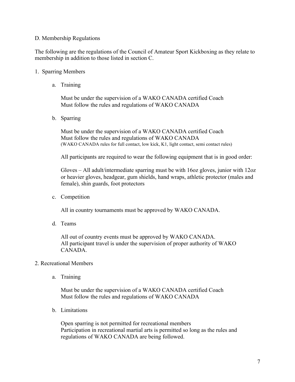## D. Membership Regulations

The following are the regulations of the Council of Amateur Sport Kickboxing as they relate to membership in addition to those listed in section C.

## 1. Sparring Members

a. Training

Must be under the supervision of a WAKO CANADA certified Coach Must follow the rules and regulations of WAKO CANADA

b. Sparring

Must be under the supervision of a WAKO CANADA certified Coach Must follow the rules and regulations of WAKO CANADA (WAKO CANADA rules for full contact, low kick, K1, light contact, semi contact rules)

All participants are required to wear the following equipment that is in good order:

Gloves  $-$  All adult/intermediate sparring must be with 16oz gloves, junior with 12oz or heavier gloves, headgear, gum shields, hand wraps, athletic protector (males and female), shin guards, foot protectors

c. Competition

All in country tournaments must be approved by WAKO CANADA.

d. Teams

All out of country events must be approved by WAKO CANADA. All participant travel is under the supervision of proper authority of WAKO CANADA.

## 2. Recreational Members

a. Training

Must be under the supervision of a WAKO CANADA certified Coach Must follow the rules and regulations of WAKO CANADA

b. Limitations

Open sparring is not permitted for recreational members Participation in recreational martial arts is permitted so long as the rules and regulations of WAKO CANADA are being followed.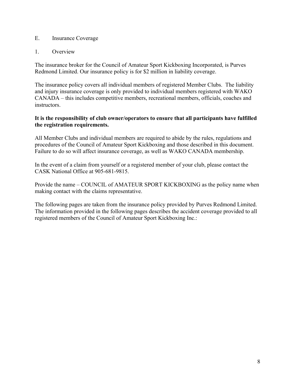## E. Insurance Coverage

## 1. Overview

The insurance broker for the Council of Amateur Sport Kickboxing Incorporated, is Purves Redmond Limited. Our insurance policy is for \$2 million in liability coverage.

The insurance policy covers all individual members of registered Member Clubs. The liability and injury insurance coverage is only provided to individual members registered with WAKO CANADA – this includes competitive members, recreational members, officials, coaches and instructors.

## **It is the responsibility of club owner/operators to ensure that all participants have fulfilled the registration requirements.**

All Member Clubs and individual members are required to abide by the rules, regulations and procedures of the Council of Amateur Sport Kickboxing and those described in this document. Failure to do so will affect insurance coverage, as well as WAKO CANADA membership.

In the event of a claim from yourself or a registered member of your club, please contact the CASK National Office at 905-681-9815.

Provide the name – COUNCIL of AMATEUR SPORT KICKBOXING as the policy name when making contact with the claims representative.

The following pages are taken from the insurance policy provided by Purves Redmond Limited. The information provided in the following pages describes the accident coverage provided to all registered members of the Council of Amateur Sport Kickboxing Inc.: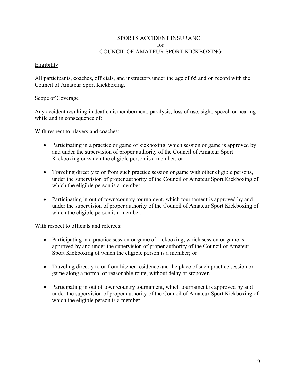## SPORTS ACCIDENT INSURANCE for COUNCIL OF AMATEUR SPORT KICKBOXING

## **Eligibility**

All participants, coaches, officials, and instructors under the age of 65 and on record with the Council of Amateur Sport Kickboxing.

## Scope of Coverage

Any accident resulting in death, dismemberment, paralysis, loss of use, sight, speech or hearing – while and in consequence of:

With respect to players and coaches:

- Participating in a practice or game of kickboxing, which session or game is approved by and under the supervision of proper authority of the Council of Amateur Sport Kickboxing or which the eligible person is a member; or
- Traveling directly to or from such practice session or game with other eligible persons, under the supervision of proper authority of the Council of Amateur Sport Kickboxing of which the eligible person is a member.
- Participating in out of town/country tournament, which tournament is approved by and under the supervision of proper authority of the Council of Amateur Sport Kickboxing of which the eligible person is a member.

With respect to officials and referees:

- Participating in a practice session or game of kickboxing, which session or game is approved by and under the supervision of proper authority of the Council of Amateur Sport Kickboxing of which the eligible person is a member; or
- Traveling directly to or from his/her residence and the place of such practice session or game along a normal or reasonable route, without delay or stopover.
- Participating in out of town/country tournament, which tournament is approved by and under the supervision of proper authority of the Council of Amateur Sport Kickboxing of which the eligible person is a member.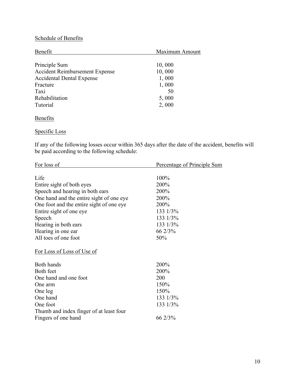# Schedule of Benefits

| Benefit                               | Maximum Amount |
|---------------------------------------|----------------|
|                                       |                |
| Principle Sum                         | 10,000         |
| <b>Accident Reimbursement Expense</b> | 10,000         |
| <b>Accidental Dental Expense</b>      | 1,000          |
| Fracture                              | 1,000          |
| Taxi                                  | 50             |
| Rehabilitation                        | 5,000          |
| Tutorial                              | 2,000          |
|                                       |                |

## **Benefits**

## Specific Loss

If any of the following losses occur within 365 days after the date of the accident, benefits will be paid according to the following schedule:

| For loss of                              | Percentage of Principle Sum |
|------------------------------------------|-----------------------------|
|                                          |                             |
| Life                                     | 100%                        |
| Entire sight of both eyes                | 200%                        |
| Speech and hearing in both ears          | 200%                        |
| One hand and the entire sight of one eye | 200%                        |
| One foot and the entire sight of one eye | 200%                        |
| Entire sight of one eye                  | 133 1/3%                    |
| Speech                                   | 133 1/3%                    |
| Hearing in both ears                     | 133 1/3%                    |
| Hearing in one ear                       | 66 2/3%                     |
| All toes of one foot                     | 50%                         |
| For Loss of Loss of Use of               |                             |
|                                          |                             |
| Both hands                               | 200%                        |
| Both feet                                | 200%                        |
| One hand and one foot                    | 200                         |
| One arm                                  | 150%                        |
| One leg                                  | 150%                        |
| One hand                                 | 133 1/3%                    |
| One foot                                 | 133 1/3%                    |
| Thumb and index finger of at least four  |                             |
| Fingers of one hand                      | 66 2/3%                     |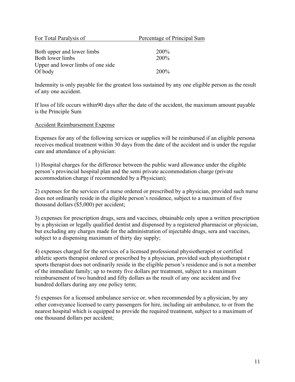| For Total Paralysis of            | Percentage of Principal Sum |
|-----------------------------------|-----------------------------|
|                                   |                             |
| Both upper and lower limbs        | <b>200%</b>                 |
| Both lower limbs                  | 200%                        |
| Upper and lower limbs of one side |                             |
| Of body                           | 200 <sup>%</sup>            |

Indemnity is only payable for the greatest loss sustained by any one eligible person as the result of any one accident.

If loss of life occurs within90 days after the date of the accident, the maximum amount payable is the Principle Sum

## Accident Reimbursement Expense

Expenses for any of the following services or supplies will be reimbursed if an eligible persona receives medical treatment within 30 days from the date of the accident and is under the regular care and attendance of a physician:

1) Hospital charges for the difference between the public ward allowance under the eligible person's provincial hospital plan and the semi private accommodation charge (private accommodation charge if recommended by a Physician);

2) expenses for the services of a nurse ordered or prescribed by a physician, provided such nurse does not ordinarily reside in the eligible person's residence, subject to a maximum of five thousand dollars (\$5,000) per accident;

3) expenses for prescription drugs, sera and vaccines, obtainable only upon a written prescription by a physician or legally qualified dentist and dispensed by a registered pharmacist or physician, but excluding any charges made for the administration of injectable drugs, sera and vaccines, subject to a dispensing maximum of thirty day supply;

4) expenses charged for the services of a licensed professional physiotherapist or certified athletic sports therapist ordered or prescribed by a physician, provided such physiotherapist r sports therapist does not ordinarily reside in the eligible person's residence and is not a member of the immediate family; up to twenty five dollars per treatment, subject to a maximum reimbursement of two hundred and fifty dollars as the result of any one accident and five hundred dollars during any one policy term;

5) expenses for a licensed ambulance service or, when recommended by a physician, by any other conveyance licensed to carry passengers for hire, including air ambulance, to or from the nearest hospital which is equipped to provide the required treatment, subject to a maximum of one thousand dollars per accident;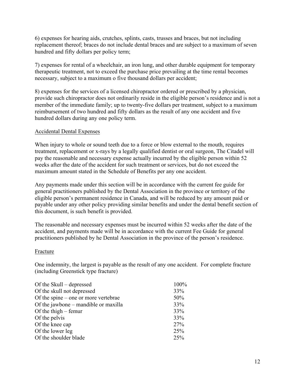6) expenses for hearing aids, crutches, splints, casts, trusses and braces, but not including replacement thereof; braces do not include dental braces and are subject to a maximum of seven hundred and fifty dollars per policy term;

7) expenses for rental of a wheelchair, an iron lung, and other durable equipment for temporary therapeutic treatment, not to exceed the purchase price prevailing at the time rental becomes necessary, subject to a maximum o five thousand dollars per accident;

8) expenses for the services of a licensed chiropractor ordered or prescribed by a physician, provide such chiropractor does not ordinarily reside in the eligible person's residence and is not a member of the immediate family; up to twenty-five dollars per treatment, subject to a maximum reimbursement of two hundred and fifty dollars as the result of any one accident and five hundred dollars during any one policy term.

## Accidental Dental Expenses

When injury to whole or sound teeth due to a force or blow external to the mouth, requires treatment, replacement or x-rays by a legally qualified dentist or oral surgeon, The Citadel will pay the reasonable and necessary expense actually incurred by the eligible person within 52 weeks after the date of the accident for such treatment or services, but do not exceed the maximum amount stated in the Schedule of Benefits per any one accident.

Any payments made under this section will be in accordance with the current fee guide for general practitioners published by the Dental Association in the province or territory of the eligible person's permanent residence in Canada, and will be reduced by any amount paid or payable under any other policy providing similar benefits and under the dental benefit section of this document, is such benefit is provided.

The reasonable and necessary expenses must be incurred within 52 weeks after the date of the accident, and payments made will be in accordance with the current Fee Guide for general practitioners published by he Dental Association in the province of the person's residence.

## Fracture

One indemnity, the largest is payable as the result of any one accident. For complete fracture (including Greenstick type fracture)

| Of the Skull – depressed             | 100% |
|--------------------------------------|------|
| Of the skull not depressed           | 33%  |
| Of the spine – one or more vertebrae | 50%  |
| Of the jawbone – mandible or maxilla | 33%  |
| Of the thigh $-$ femur               | 33%  |
| Of the pelvis                        | 33%  |
| Of the knee cap                      | 27%  |
| Of the lower leg                     | 25%  |
| Of the shoulder blade                | 25%  |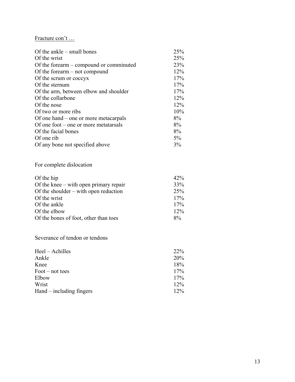# Fracture con't …

| Of the ankle $-$ small bones            | 25% |
|-----------------------------------------|-----|
| Of the wrist                            | 25% |
| Of the forearm – compound or comminuted | 23% |
| Of the forearm $-$ not compound         | 12% |
| Of the scrum or coccyx                  | 17% |
| Of the sternum                          | 17% |
| Of the arm, between elbow and shoulder  | 17% |
| Of the collarbone                       | 12% |
| Of the nose                             | 12% |
| Of two or more ribs                     | 10% |
| Of one hand – one or more metacarpals   | 8%  |
| Of one foot – one or more metatarials   | 8%  |
| Of the facial bones                     | 8%  |
| Of one rib                              | 5%  |
| Of any bone not specified above         | 3%  |

# For complete dislocation

| Of the hip                              | 42%    |
|-----------------------------------------|--------|
| Of the knee – with open primary repair  | 33%    |
| Of the shoulder $-$ with open reduction | 25%    |
| Of the wrist                            | 17%    |
| Of the ankle                            | 17%    |
| Of the elbow                            | $12\%$ |
| Of the bones of foot, other than toes   | $8\%$  |

## Severance of tendon or tendons

| Heel – Achilles          | 22 <sup>%</sup> |
|--------------------------|-----------------|
| Ankle                    | 20%             |
| Knee                     | 18%             |
| Foot – not toes          | 17%             |
| Elbow                    | 17%             |
| Wrist                    | 12%             |
| Hand – including fingers | $12\%$          |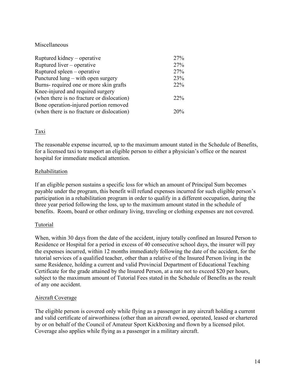## Miscellaneous

| Ruptured kidney – operative                | 27%    |
|--------------------------------------------|--------|
| Ruptured liver – operative                 | 27%    |
| Ruptured spleen – operative                | 27%    |
| Punctured lung – with open surgery         | 23%    |
| Burns- required one or more skin grafts    | 22%    |
| Knee-injured and required surgery          |        |
| (when there is no fracture or dislocation) | $22\%$ |
| Bone operation-injured portion removed     |        |
| (when there is no fracture or dislocation) | 20%    |

## Taxi

The reasonable expense incurred, up to the maximum amount stated in the Schedule of Benefits, for a licensed taxi to transport an eligible person to either a physician's office or the nearest hospital for immediate medical attention.

## Rehabilitation

If an eligible person sustains a specific loss for which an amount of Principal Sum becomes payable under the program, this benefit will refund expenses incurred for such eligible person's participation in a rehabilitation program in order to qualify in a different occupation, during the three year period following the loss, up to the maximum amount stated in the schedule of benefits. Room, board or other ordinary living, traveling or clothing expenses are not covered.

## Tutorial

When, within 30 days from the date of the accident, injury totally confined an Insured Person to Residence or Hospital for a period in excess of 40 consecutive school days, the insurer will pay the expenses incurred, within 12 months immediately following the date of the accident, for the tutorial services of a qualified teacher, other than a relative of the Insured Person living in the same Residence, holding a current and valid Provincial Department of Educational Teaching Certificate for the grade attained by the Insured Person, at a rate not to exceed \$20 per hours, subject to the maximum amount of Tutorial Fees stated in the Schedule of Benefits as the result of any one accident.

## Aircraft Coverage

The eligible person is covered only while flying as a passenger in any aircraft holding a current and valid certificate of airworthiness (other than an aircraft owned, operated, leased or chartered by or on behalf of the Council of Amateur Sport Kickboxing and flown by a licensed pilot. Coverage also applies while flying as a passenger in a military aircraft.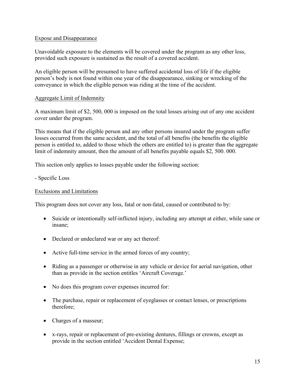## Expose and Disappearance

Unavoidable exposure to the elements will be covered under the program as any other loss, provided such exposure is sustained as the result of a covered accident.

An eligible person will be presumed to have suffered accidental loss of life if the eligible person's body is not found within one year of the disappearance, sinking or wrecking of the conveyance in which the eligible person was riding at the time of the accident.

## Aggregate Limit of Indemnity

A maximum limit of \$2, 500, 000 is imposed on the total losses arising out of any one accident cover under the program.

This means that if the eligible person and any other persons insured under the program suffer losses occurred from the same accident, and the total of all benefits (the benefits the eligible person is entitled to, added to those which the others are entitled to) is greater than the aggregate limit of indemnity amount, then the amount of all benefits payable equals \$2, 500. 000.

This section only applies to losses payable under the following section:

- Specific Loss

## Exclusions and Limitations

This program does not cover any loss, fatal or non-fatal, caused or contributed to by:

- Suicide or intentionally self-inflicted injury, including any attempt at either, while sane or insane;
- Declared or undeclared war or any act thereof:
- Active full-time service in the armed forces of any country;
- Riding as a passenger or otherwise in any vehicle or device for aerial navigation, other than as provide in the section entitles 'Aircraft Coverage.'
- No does this program cover expenses incurred for:
- The purchase, repair or replacement of eyeglasses or contact lenses, or prescriptions therefore;
- Charges of a masseur;
- x-rays, repair or replacement of pre-existing dentures, fillings or crowns, except as provide in the section entitled 'Accident Dental Expense;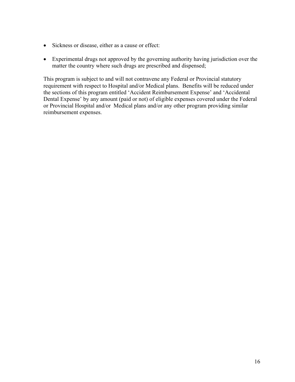- Sickness or disease, either as a cause or effect:
- Experimental drugs not approved by the governing authority having jurisdiction over the matter the country where such drugs are prescribed and dispensed;

This program is subject to and will not contravene any Federal or Provincial statutory requirement with respect to Hospital and/or Medical plans. Benefits will be reduced under the sections of this program entitled 'Accident Reimbursement Expense' and 'Accidental Dental Expense' by any amount (paid or not) of eligible expenses covered under the Federal or Provincial Hospital and/or Medical plans and/or any other program providing similar reimbursement expenses.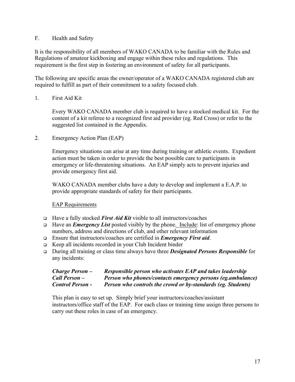## F. Health and Safety

It is the responsibility of all members of WAKO CANADA to be familiar with the Rules and Regulations of amateur kickboxing and engage within these rules and regulations. This requirement is the first step in fostering an environment of safety for all participants.

The following are specific areas the owner/operator of a WAKO CANADA registered club are required to fulfill as part of their commitment to a safety focused club.

## 1. First Aid Kit

Every WAKO CANADA member club is required to have a stocked medical kit. For the content of a kit referee to a recognized first aid provider (eg. Red Cross) or refer to the suggested list contained in the Appendix.

2. Emergency Action Plan (EAP)

Emergency situations can arise at any time during training or athletic events. Expedient action must be taken in order to provide the best possible care to participants in emergency or life-threatening situations. An EAP simply acts to prevent injuries and provide emergency first aid.

WAKO CANADA member clubs have a duty to develop and implement a E.A.P. to provide appropriate standards of safety for their participants.

## EAP Requirements

- <sup>q</sup> Have a fully stocked *First Aid Kit* visible to all instructors/coaches
- <sup>q</sup> Have an *Emergency List* posted visibly by the phone. Include: list of emergency phone numbers, address and directions of club, and other relevant information
- <sup>q</sup> Ensure that instructors/coaches are certified in *Emergency First aid*.
- <sup>q</sup> Keep all incidents recorded in your Club Incident binder
- <sup>q</sup> During all training or class time always have three *Designated Persons Responsible* for any incidents:

| Charge Person –         | Responsible person who activates EAP and takes leadership    |
|-------------------------|--------------------------------------------------------------|
| Call Person –           | Person who phones/contacts emergency persons (eg.ambulance)  |
| <b>Control Person -</b> | Person who controls the crowd or by-standards (eg. Students) |

This plan is easy to set up. Simply brief your instructors/coaches/assistant instructors/office staff of the EAP. For each class or training time assign three persons to carry out these roles in case of an emergency.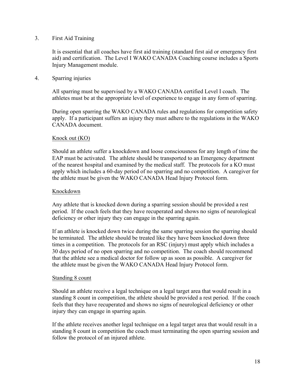## 3. First Aid Training

It is essential that all coaches have first aid training (standard first aid or emergency first aid) and certification. The Level I WAKO CANADA Coaching course includes a Sports Injury Management module.

## 4. Sparring injuries

All sparring must be supervised by a WAKO CANADA certified Level I coach. The athletes must be at the appropriate level of experience to engage in any form of sparring.

During open sparring the WAKO CANADA rules and regulations for competition safety apply. If a participant suffers an injury they must adhere to the regulations in the WAKO CANADA document.

## Knock out (KO)

Should an athlete suffer a knockdown and loose consciousness for any length of time the EAP must be activated. The athlete should be transported to an Emergency department of the nearest hospital and examined by the medical staff. The protocols for a KO must apply which includes a 60-day period of no sparring and no competition. A caregiver for the athlete must be given the WAKO CANADA Head Injury Protocol form.

## Knockdown

Any athlete that is knocked down during a sparring session should be provided a rest period. If the coach feels that they have recuperated and shows no signs of neurological deficiency or other injury they can engage in the sparring again.

If an athlete is knocked down twice during the same sparring session the sparring should be terminated. The athlete should be treated like they have been knocked down three times in a competition. The protocols for an RSC (injury) must apply which includes a 30 days period of no open sparring and no competition. The coach should recommend that the athlete see a medical doctor for follow up as soon as possible. A caregiver for the athlete must be given the WAKO CANADA Head Injury Protocol form.

## Standing 8 count

Should an athlete receive a legal technique on a legal target area that would result in a standing 8 count in competition, the athlete should be provided a rest period. If the coach feels that they have recuperated and shows no signs of neurological deficiency or other injury they can engage in sparring again.

If the athlete receives another legal technique on a legal target area that would result in a standing 8 count in competition the coach must terminating the open sparring session and follow the protocol of an injured athlete.